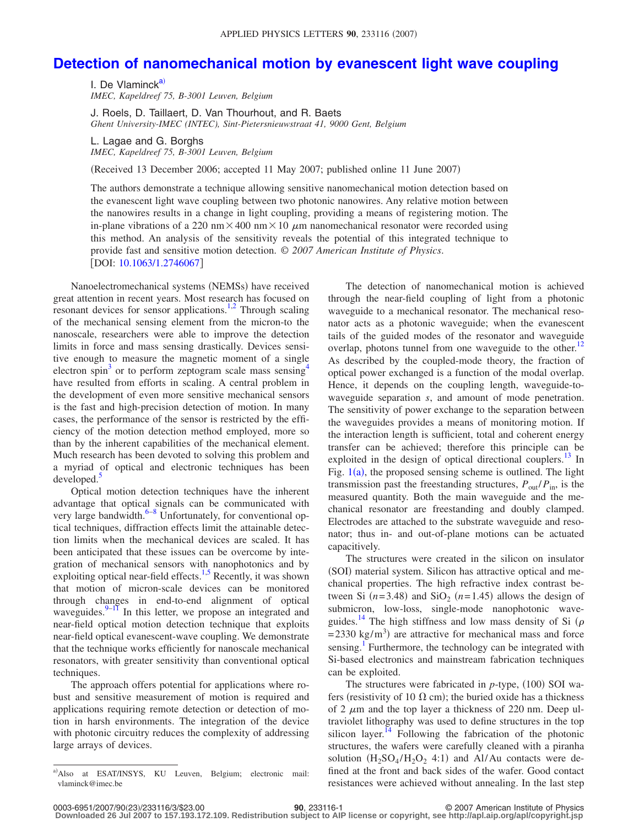## **[Detection of nanomechanical motion by evanescent light wave coupling](http://dx.doi.org/10.1063/1.2746067)**

I. De Vlaminck $a$ *IMEC, Kapeldreef 75, B-3001 Leuven, Belgium*

J. Roels, D. Taillaert, D. Van Thourhout, and R. Baets *Ghent University-IMEC (INTEC), Sint-Pietersnieuwstraat 41, 9000 Gent, Belgium*

L. Lagae and G. Borghs *IMEC, Kapeldreef 75, B-3001 Leuven, Belgium*

(Received 13 December 2006; accepted 11 May 2007; published online 11 June 2007)

The authors demonstrate a technique allowing sensitive nanomechanical motion detection based on the evanescent light wave coupling between two photonic nanowires. Any relative motion between the nanowires results in a change in light coupling, providing a means of registering motion. The in-plane vibrations of a 220 nm $\times$ 400 nm $\times$ 10  $\mu$ m nanomechanical resonator were recorded using this method. An analysis of the sensitivity reveals the potential of this integrated technique to provide fast and sensitive motion detection. © *2007 American Institute of Physics*. [DOI: [10.1063/1.2746067](http://dx.doi.org/10.1063/1.2746067)]

Nanoelectromechanical systems (NEMSs) have received great attention in recent years. Most research has focused on resonant devices for sensor applications.<sup>1[,2](#page-2-1)</sup> Through scaling of the mechanical sensing element from the micron-to the nanoscale, researchers were able to improve the detection limits in force and mass sensing drastically. Devices sensitive enough to measure the magnetic moment of a single electron spin<sup>3</sup> or to perform zeptogram scale mass sensing<sup>4</sup> have resulted from efforts in scaling. A central problem in the development of even more sensitive mechanical sensors is the fast and high-precision detection of motion. In many cases, the performance of the sensor is restricted by the efficiency of the motion detection method employed, more so than by the inherent capabilities of the mechanical element. Much research has been devoted to solving this problem and a myriad of optical and electronic techniques has been  $developed.$ 

Optical motion detection techniques have the inherent advantage that optical signals can be communicated with very large bandwidth.<sup>6–[8](#page-2-6)</sup> Unfortunately, for conventional optical techniques, diffraction effects limit the attainable detection limits when the mechanical devices are scaled. It has been anticipated that these issues can be overcome by integration of mechanical sensors with nanophotonics and by exploiting optical near-field effects.<sup>1[,5](#page-2-4)</sup> Recently, it was shown that motion of micron-scale devices can be monitored through changes in end-to-end alignment of optical waveguides. $9-11$  $9-11$  In this letter, we propose an integrated and near-field optical motion detection technique that exploits near-field optical evanescent-wave coupling. We demonstrate that the technique works efficiently for nanoscale mechanical resonators, with greater sensitivity than conventional optical techniques.

The approach offers potential for applications where robust and sensitive measurement of motion is required and applications requiring remote detection or detection of motion in harsh environments. The integration of the device with photonic circuitry reduces the complexity of addressing large arrays of devices.

The detection of nanomechanical motion is achieved through the near-field coupling of light from a photonic waveguide to a mechanical resonator. The mechanical resonator acts as a photonic waveguide; when the evanescent tails of the guided modes of the resonator and waveguide overlap, photons tunnel from one waveguide to the other.<sup>12</sup> As described by the coupled-mode theory, the fraction of optical power exchanged is a function of the modal overlap. Hence, it depends on the coupling length, waveguide-towaveguide separation *s*, and amount of mode penetration. The sensitivity of power exchange to the separation between the waveguides provides a means of monitoring motion. If the interaction length is sufficient, total and coherent energy transfer can be achieved; therefore this principle can be exploited in the design of optical directional couplers.<sup>13</sup> In Fig.  $1(a)$  $1(a)$ , the proposed sensing scheme is outlined. The light transmission past the freestanding structures,  $P_{\text{out}}/P_{\text{in}}$ , is the measured quantity. Both the main waveguide and the mechanical resonator are freestanding and doubly clamped. Electrodes are attached to the substrate waveguide and resonator; thus in- and out-of-plane motions can be actuated capacitively.

The structures were created in the silicon on insulator (SOI) material system. Silicon has attractive optical and mechanical properties. The high refractive index contrast between Si  $(n=3.48)$  and SiO<sub>2</sub>  $(n=1.45)$  allows the design of submicron, low-loss, single-mode nanophotonic waveguides.<sup>14</sup> The high stiffness and low mass density of Si  $(\rho)$  $= 2330 \text{ kg/m}^3$ ) are attractive for mechanical mass and force sensing.<sup>1</sup> Furthermore, the technology can be integrated with Si-based electronics and mainstream fabrication techniques can be exploited.

The structures were fabricated in  $p$ -type,  $(100)$  SOI wafers (resistivity of 10  $\Omega$  cm); the buried oxide has a thickness of 2  $\mu$ m and the top layer a thickness of 220 nm. Deep ultraviolet lithography was used to define structures in the top silicon layer.<sup>14</sup> Following the fabrication of the photonic structures, the wafers were carefully cleaned with a piranha solution  $(H_2SO_4/H_2O_2 4:1)$  and Al/Au contacts were defined at the front and back sides of the wafer. Good contact resistances were achieved without annealing. In the last step

<span id="page-0-0"></span>a)Also at ESAT/INSYS, KU Leuven, Belgium; electronic mail: vlaminck@imec.be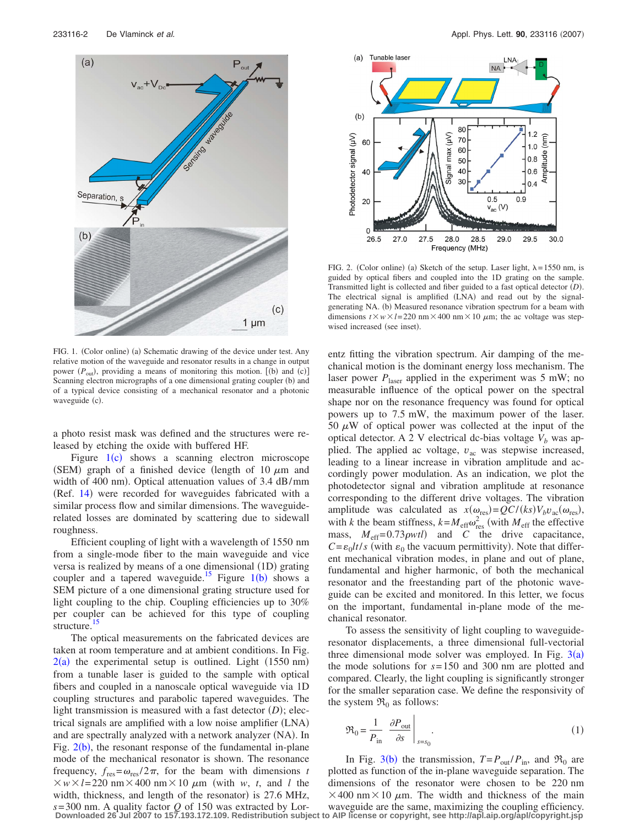<span id="page-1-0"></span>

<span id="page-1-1"></span>

FIG. 2. (Color online) (a) Sketch of the setup. Laser light,  $\lambda = 1550$  nm, is guided by optical fibers and coupled into the 1D grating on the sample. Transmitted light is collected and fiber guided to a fast optical detector (D). The electrical signal is amplified (LNA) and read out by the signalgenerating NA. (b) Measured resonance vibration spectrum for a beam with dimensions  $t \times w \times l = 220$  nm  $\times$  400 nm  $\times$  10  $\mu$ m; the ac voltage was stepwised increased (see inset).

FIG. 1. (Color online) (a) Schematic drawing of the device under test. Any relative motion of the waveguide and resonator results in a change in output power ( $P_{\text{out}}$ ), providing a means of monitoring this motion. [(b) and (c)] Scanning electron micrographs of a one dimensional grating coupler (b) and of a typical device consisting of a mechanical resonator and a photonic waveguide (c).

a photo resist mask was defined and the structures were released by etching the oxide with buffered HF.

Figure  $1(c)$  $1(c)$  shows a scanning electron microscope (SEM) graph of a finished device (length of 10  $\mu$ m and width of 400 nm). Optical attenuation values of 3.4 dB/mm (Ref. [14](#page-2-11)) were recorded for waveguides fabricated with a similar process flow and similar dimensions. The waveguiderelated losses are dominated by scattering due to sidewall roughness.

Efficient coupling of light with a wavelength of 1550 nm from a single-mode fiber to the main waveguide and vice versa is realized by means of a one dimensional (1D) grating coupler and a tapered waveguide.<sup>[1](#page-1-0)5</sup> Figure  $1(b)$  shows a SEM picture of a one dimensional grating structure used for light coupling to the chip. Coupling efficiencies up to 30% per coupler can be achieved for this type of coupling structure.<sup>15</sup>

The optical measurements on the fabricated devices are taken at room temperature and at ambient conditions. In Fig.  $2(a)$  $2(a)$  the experimental setup is outlined. Light (1550 nm) from a tunable laser is guided to the sample with optical fibers and coupled in a nanoscale optical waveguide via 1D coupling structures and parabolic tapered waveguides. The light transmission is measured with a fast detector (D); electrical signals are amplified with a low noise amplifier (LNA) and are spectrally analyzed with a network analyzer (NA). In Fig.  $2(b)$  $2(b)$ , the resonant response of the fundamental in-plane mode of the mechanical resonator is shown. The resonance frequency,  $f_{res} = \omega_{res}/2\pi$ , for the beam with dimensions *t*  $\times w \times l = 220$  nm $\times$ 400 nm $\times$ 10  $\mu$ m (with *w*, *t*, and *l* the width, thickness, and length of the resonator) is 27.6 MHz,  $s=300$  nm. A quality factor Q of 150 was extracted by Lor-<br>Downloaded 26 Jul 2007 to 157.193.172.109. Redistribution subject to AIP license or copyright, see http://apl.aip.org/apl/copyright.jsp

entz fitting the vibration spectrum. Air damping of the mechanical motion is the dominant energy loss mechanism. The laser power  $P_{\text{laser}}$  applied in the experiment was 5 mW; no measurable influence of the optical power on the spectral shape nor on the resonance frequency was found for optical powers up to 7.5 mW, the maximum power of the laser. 50  $\mu$ W of optical power was collected at the input of the optical detector. A 2 V electrical dc-bias voltage  $V_b$  was applied. The applied ac voltage,  $v_{ac}$  was stepwise increased, leading to a linear increase in vibration amplitude and accordingly power modulation. As an indication, we plot the photodetector signal and vibration amplitude at resonance corresponding to the different drive voltages. The vibration amplitude was calculated as  $x(\omega_{\text{res}}) = QC/(ks)V_b v_{\text{ac}}(\omega_{\text{res}})$ , with *k* the beam stiffness,  $k = M_{\text{eff}} \omega_{\text{res}}^2$  (with  $M_{\text{eff}}$  the effective mass,  $M_{\text{eff}} = 0.73 \rho w t l$  and *C* the drive capacitance,  $C = \varepsilon_0 l t / s$  (with  $\varepsilon_0$  the vacuum permittivity). Note that different mechanical vibration modes, in plane and out of plane, fundamental and higher harmonic, of both the mechanical resonator and the freestanding part of the photonic waveguide can be excited and monitored. In this letter, we focus on the important, fundamental in-plane mode of the mechanical resonator.

To assess the sensitivity of light coupling to waveguideresonator displacements, a three dimensional full-vectorial three dimensional mode solver was employed. In Fig.  $3(a)$  $3(a)$ the mode solutions for *s*= 150 and 300 nm are plotted and compared. Clearly, the light coupling is significantly stronger for the smaller separation case. We define the responsivity of the system  $\mathfrak{R}_0$  as follows:

$$
\mathfrak{R}_0 = \frac{1}{P_{\text{in}}} \left. \frac{\partial P_{\text{out}}}{\partial s} \right|_{s=s_0}.
$$
 (1)

In Fig. [3](#page-2-13)(b) the transmission,  $T = P_{\text{out}}/P_{\text{in}}$ , and  $\mathfrak{R}_0$  are plotted as function of the in-plane waveguide separation. The dimensions of the resonator were chosen to be 220 nm  $\times$  400 nm  $\times$  10  $\mu$ m. The width and thickness of the main